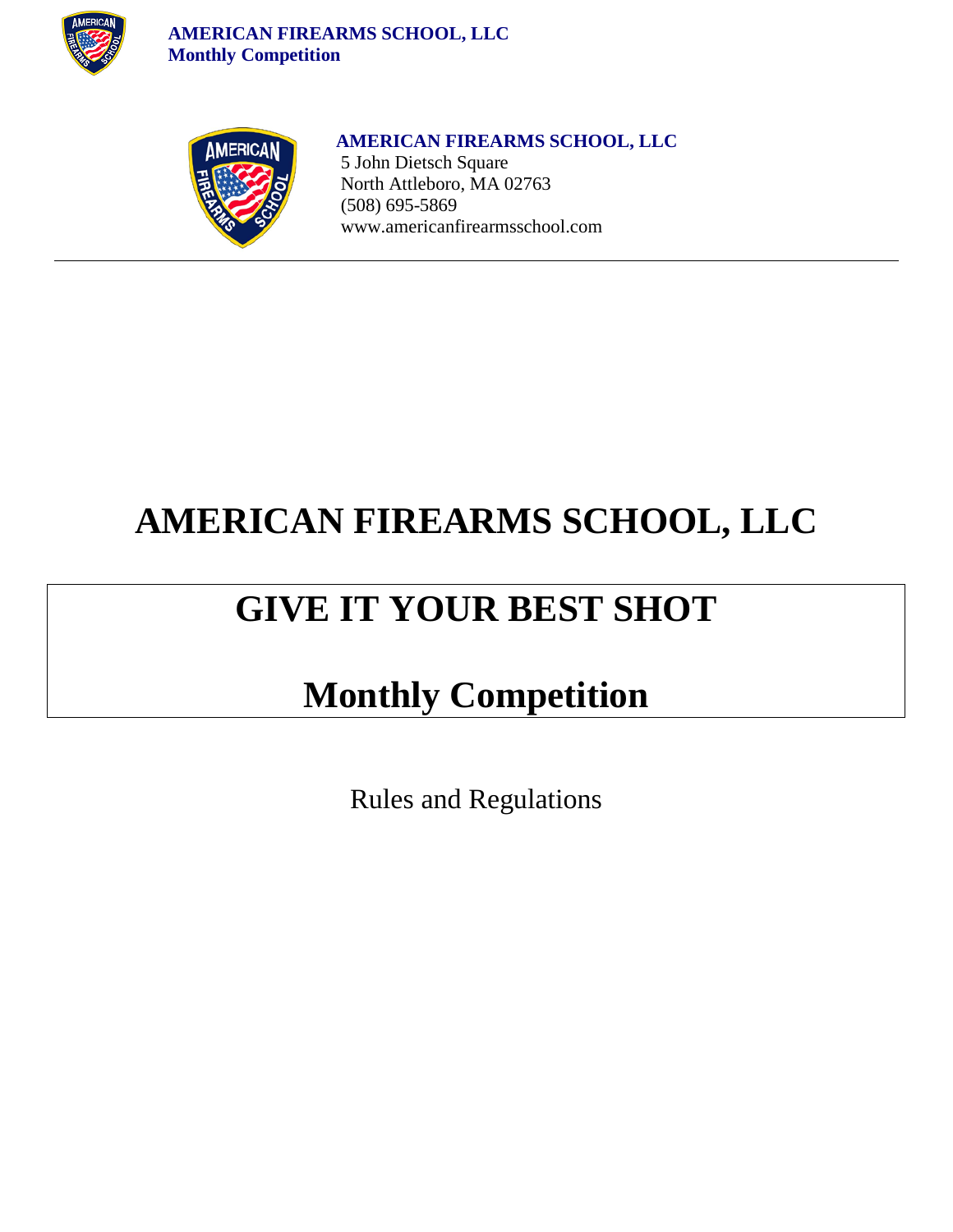

 **AMERICAN FIREARMS SCHOOL, LLC Monthly Competition**



 **AMERICAN FIREARMS SCHOOL, LLC** 5 John Dietsch Square North Attleboro, MA 02763 (508) 695-5869 [www.americanfirearmsschool.com](http://www.americanfirearmsschool.com/)

## **AMERICAN FIREARMS SCHOOL, LLC**

## **GIVE IT YOUR BEST SHOT**

### **Monthly Competition**

Rules and Regulations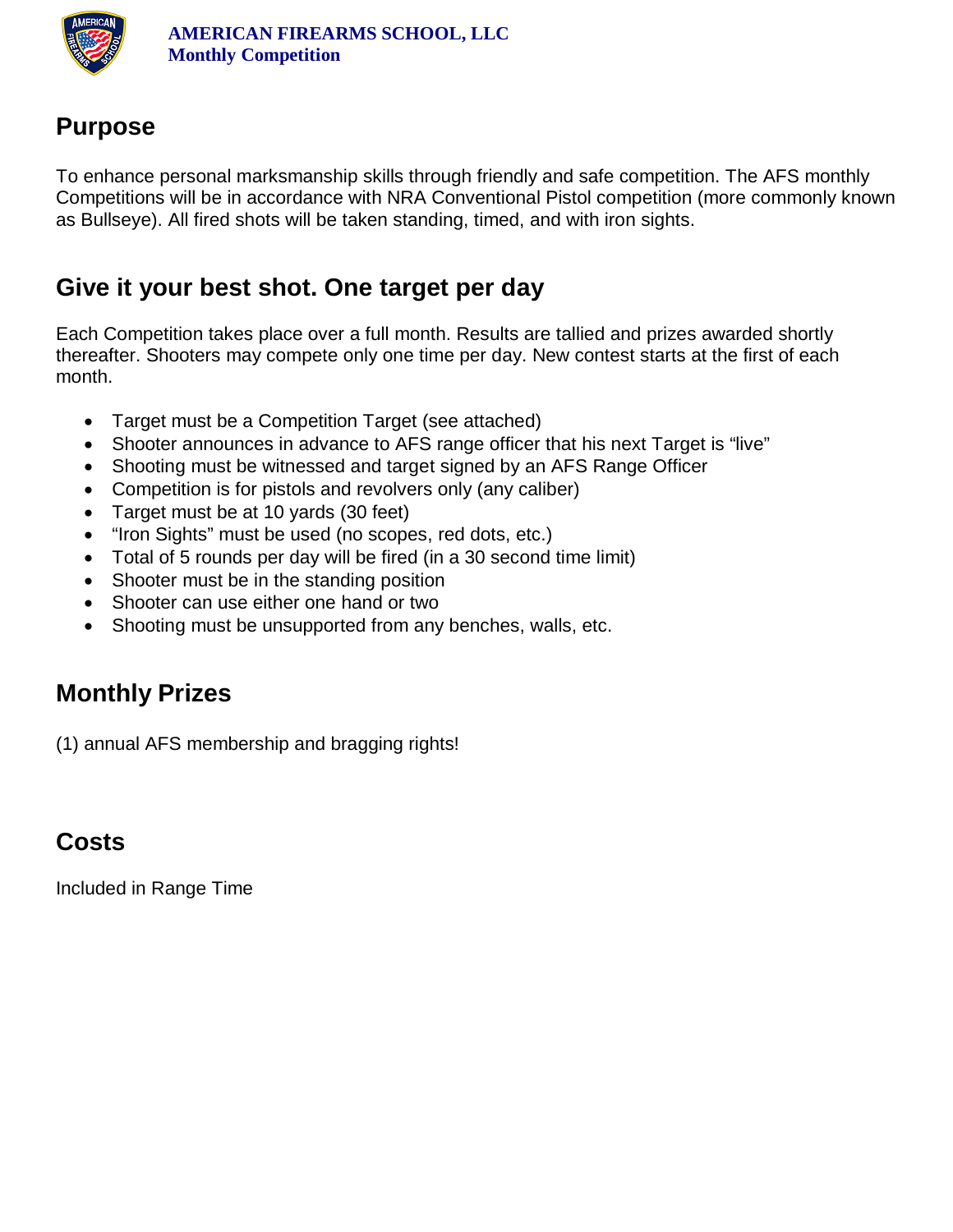

#### **Purpose**

To enhance personal marksmanship skills through friendly and safe competition. The AFS monthly Competitions will be in accordance with NRA Conventional Pistol competition (more commonly known as Bullseye). All fired shots will be taken standing, timed, and with iron sights.

#### **Give it your best shot. One target per day**

Each Competition takes place over a full month. Results are tallied and prizes awarded shortly thereafter. Shooters may compete only one time per day. New contest starts at the first of each month.

- Target must be a Competition Target (see attached)
- Shooter announces in advance to AFS range officer that his next Target is "live"
- Shooting must be witnessed and target signed by an AFS Range Officer
- Competition is for pistols and revolvers only (any caliber)
- Target must be at 10 yards (30 feet)
- "Iron Sights" must be used (no scopes, red dots, etc.)
- Total of 5 rounds per day will be fired (in a 30 second time limit)
- Shooter must be in the standing position
- Shooter can use either one hand or two
- Shooting must be unsupported from any benches, walls, etc.

#### **Monthly Prizes**

(1) annual AFS membership and bragging rights!

### **Costs**

Included in Range Time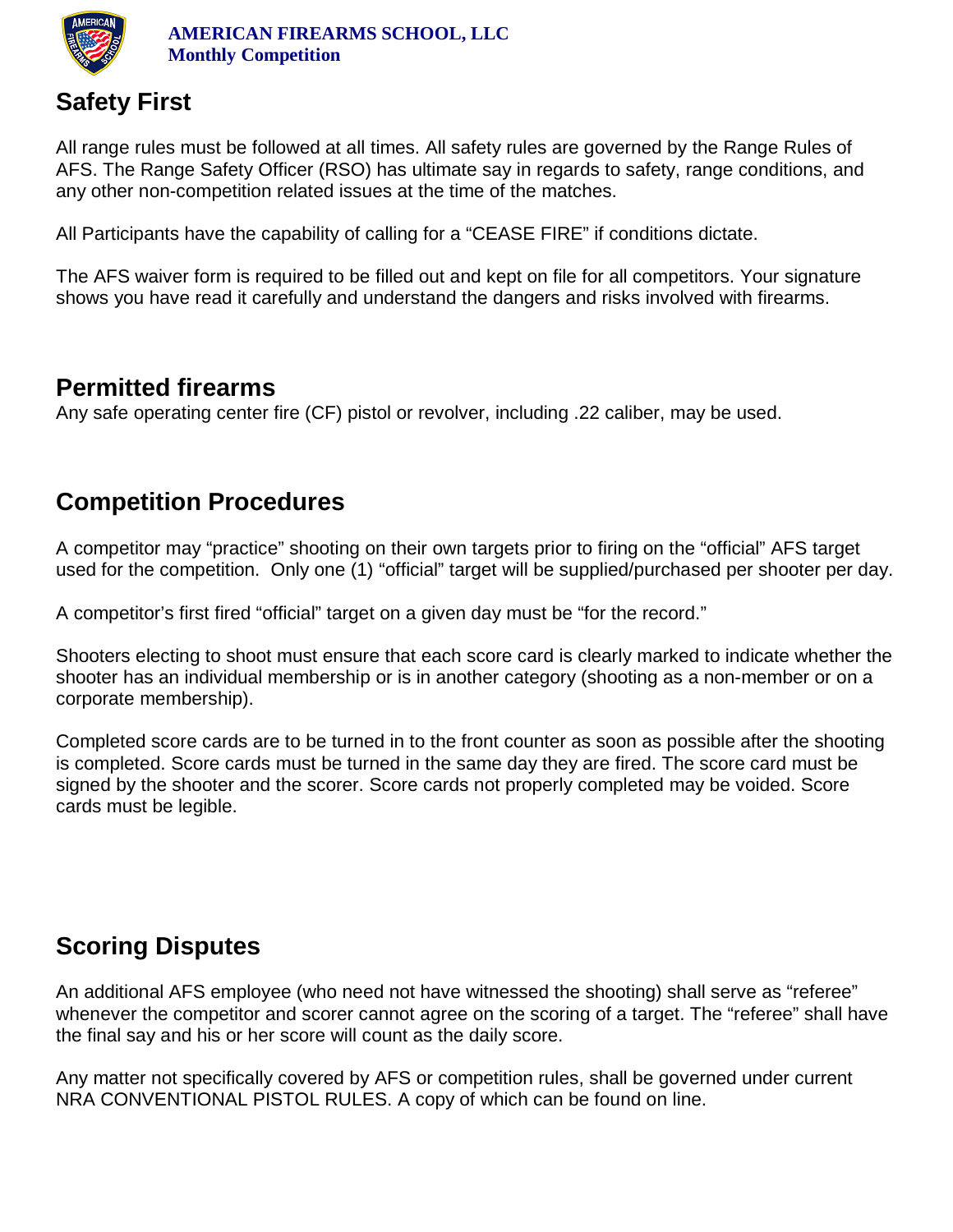

#### **Safety First**

All range rules must be followed at all times. All safety rules are governed by the Range Rules of AFS. The Range Safety Officer (RSO) has ultimate say in regards to safety, range conditions, and any other non-competition related issues at the time of the matches.

All Participants have the capability of calling for a "CEASE FIRE" if conditions dictate.

The AFS waiver form is required to be filled out and kept on file for all competitors. Your signature shows you have read it carefully and understand the dangers and risks involved with firearms.

#### **Permitted firearms**

Any safe operating center fire (CF) pistol or revolver, including .22 caliber, may be used.

#### **Competition Procedures**

A competitor may "practice" shooting on their own targets prior to firing on the "official" AFS target used for the competition. Only one (1) "official" target will be supplied/purchased per shooter per day.

A competitor's first fired "official" target on a given day must be "for the record."

Shooters electing to shoot must ensure that each score card is clearly marked to indicate whether the shooter has an individual membership or is in another category (shooting as a non-member or on a corporate membership).

Completed score cards are to be turned in to the front counter as soon as possible after the shooting is completed. Score cards must be turned in the same day they are fired. The score card must be signed by the shooter and the scorer. Score cards not properly completed may be voided. Score cards must be legible.

#### **Scoring Disputes**

An additional AFS employee (who need not have witnessed the shooting) shall serve as "referee" whenever the competitor and scorer cannot agree on the scoring of a target. The "referee" shall have the final say and his or her score will count as the daily score.

Any matter not specifically covered by AFS or competition rules, shall be governed under current NRA CONVENTIONAL PISTOL RULES. A copy of which can be found on line.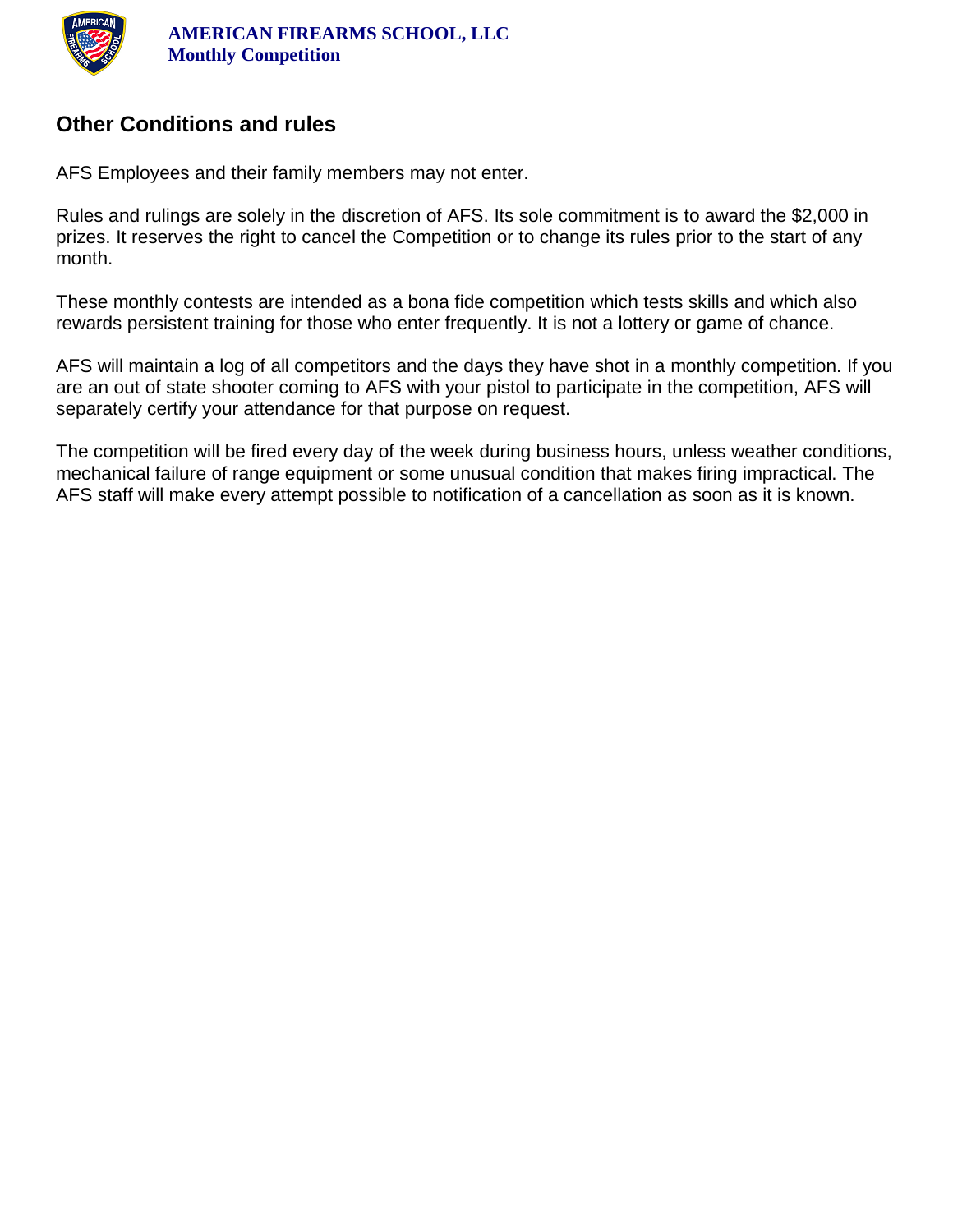

#### **Other Conditions and rules**

AFS Employees and their family members may not enter.

Rules and rulings are solely in the discretion of AFS. Its sole commitment is to award the \$2,000 in prizes. It reserves the right to cancel the Competition or to change its rules prior to the start of any month.

These monthly contests are intended as a bona fide competition which tests skills and which also rewards persistent training for those who enter frequently. It is not a lottery or game of chance.

AFS will maintain a log of all competitors and the days they have shot in a monthly competition. If you are an out of state shooter coming to AFS with your pistol to participate in the competition, AFS will separately certify your attendance for that purpose on request.

The competition will be fired every day of the week during business hours, unless weather conditions, mechanical failure of range equipment or some unusual condition that makes firing impractical. The AFS staff will make every attempt possible to notification of a cancellation as soon as it is known.